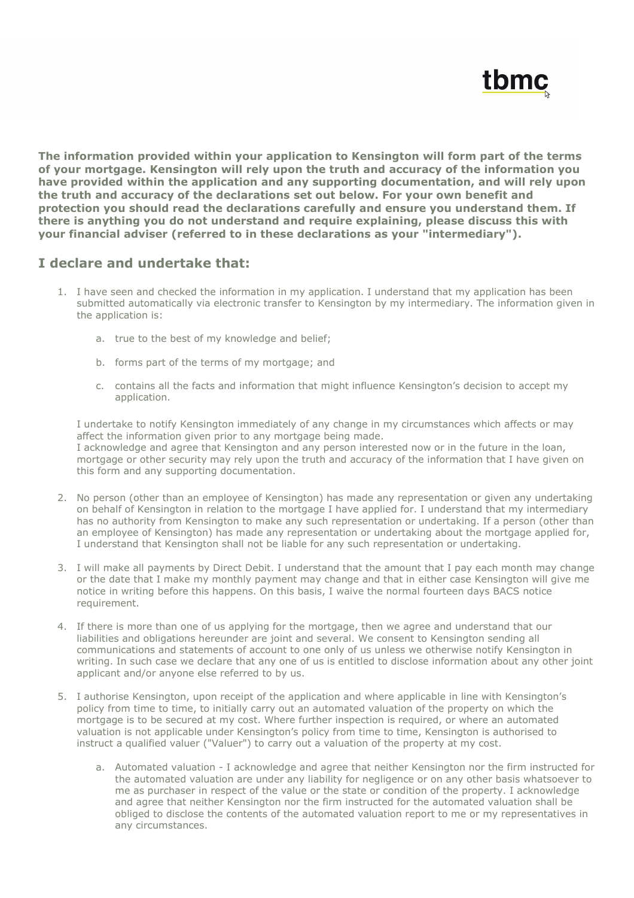

**The information provided within your application to Kensington will form part of the terms of your mortgage. Kensington will rely upon the truth and accuracy of the information you have provided within the application and any supporting documentation, and will rely upon the truth and accuracy of the declarations set out below. For your own benefit and protection you should read the declarations carefully and ensure you understand them. If there is anything you do not understand and require explaining, please discuss this with your financial adviser (referred to in these declarations as your "intermediary").** 

## **I declare and undertake that:**

- 1. I have seen and checked the information in my application. I understand that my application has been submitted automatically via electronic transfer to Kensington by my intermediary. The information given in the application is:
	- a. true to the best of my knowledge and belief;
	- b. forms part of the terms of my mortgage; and
	- c. contains all the facts and information that might influence Kensington's decision to accept my application.

I undertake to notify Kensington immediately of any change in my circumstances which affects or may affect the information given prior to any mortgage being made. I acknowledge and agree that Kensington and any person interested now or in the future in the loan, mortgage or other security may rely upon the truth and accuracy of the information that I have given on this form and any supporting documentation.

- 2. No person (other than an employee of Kensington) has made any representation or given any undertaking on behalf of Kensington in relation to the mortgage I have applied for. I understand that my intermediary has no authority from Kensington to make any such representation or undertaking. If a person (other than an employee of Kensington) has made any representation or undertaking about the mortgage applied for, I understand that Kensington shall not be liable for any such representation or undertaking.
- 3. I will make all payments by Direct Debit. I understand that the amount that I pay each month may change or the date that I make my monthly payment may change and that in either case Kensington will give me notice in writing before this happens. On this basis, I waive the normal fourteen days BACS notice requirement.
- 4. If there is more than one of us applying for the mortgage, then we agree and understand that our liabilities and obligations hereunder are joint and several. We consent to Kensington sending all communications and statements of account to one only of us unless we otherwise notify Kensington in writing. In such case we declare that any one of us is entitled to disclose information about any other joint applicant and/or anyone else referred to by us.
- 5. I authorise Kensington, upon receipt of the application and where applicable in line with Kensington's policy from time to time, to initially carry out an automated valuation of the property on which the mortgage is to be secured at my cost. Where further inspection is required, or where an automated valuation is not applicable under Kensington's policy from time to time, Kensington is authorised to instruct a qualified valuer ("Valuer") to carry out a valuation of the property at my cost.
	- a. Automated valuation I acknowledge and agree that neither Kensington nor the firm instructed for the automated valuation are under any liability for negligence or on any other basis whatsoever to me as purchaser in respect of the value or the state or condition of the property. I acknowledge and agree that neither Kensington nor the firm instructed for the automated valuation shall be obliged to disclose the contents of the automated valuation report to me or my representatives in any circumstances.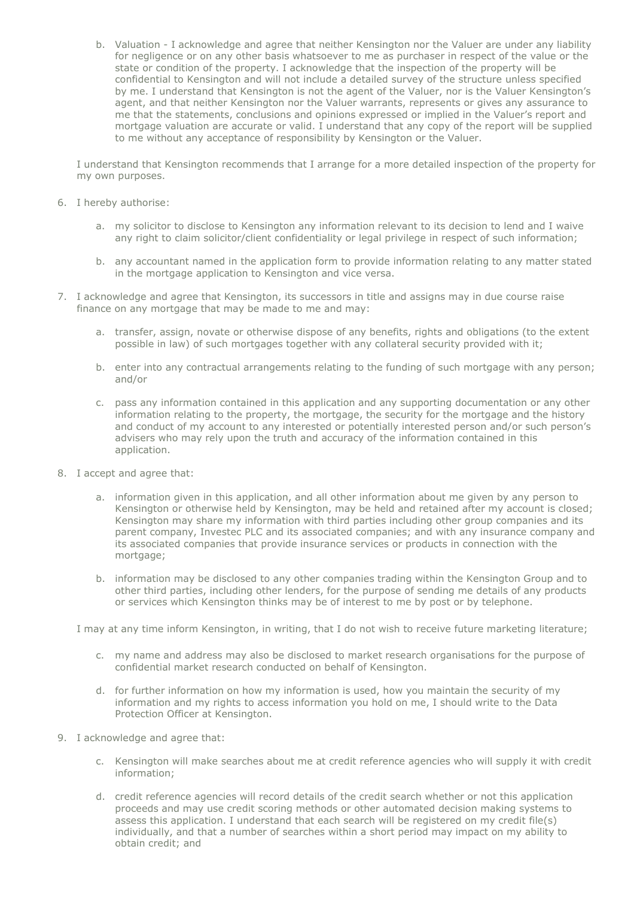b. Valuation - I acknowledge and agree that neither Kensington nor the Valuer are under any liability for negligence or on any other basis whatsoever to me as purchaser in respect of the value or the state or condition of the property. I acknowledge that the inspection of the property will be confidential to Kensington and will not include a detailed survey of the structure unless specified by me. I understand that Kensington is not the agent of the Valuer, nor is the Valuer Kensington's agent, and that neither Kensington nor the Valuer warrants, represents or gives any assurance to me that the statements, conclusions and opinions expressed or implied in the Valuer's report and mortgage valuation are accurate or valid. I understand that any copy of the report will be supplied to me without any acceptance of responsibility by Kensington or the Valuer.

I understand that Kensington recommends that I arrange for a more detailed inspection of the property for my own purposes.

- 6. I hereby authorise:
	- a. my solicitor to disclose to Kensington any information relevant to its decision to lend and I waive any right to claim solicitor/client confidentiality or legal privilege in respect of such information;
	- b. any accountant named in the application form to provide information relating to any matter stated in the mortgage application to Kensington and vice versa.
- 7. I acknowledge and agree that Kensington, its successors in title and assigns may in due course raise finance on any mortgage that may be made to me and may:
	- a. transfer, assign, novate or otherwise dispose of any benefits, rights and obligations (to the extent possible in law) of such mortgages together with any collateral security provided with it;
	- b. enter into any contractual arrangements relating to the funding of such mortgage with any person; and/or
	- c. pass any information contained in this application and any supporting documentation or any other information relating to the property, the mortgage, the security for the mortgage and the history and conduct of my account to any interested or potentially interested person and/or such person's advisers who may rely upon the truth and accuracy of the information contained in this application.
- 8. I accept and agree that:
	- a. information given in this application, and all other information about me given by any person to Kensington or otherwise held by Kensington, may be held and retained after my account is closed; Kensington may share my information with third parties including other group companies and its parent company, Investec PLC and its associated companies; and with any insurance company and its associated companies that provide insurance services or products in connection with the mortgage;
	- b. information may be disclosed to any other companies trading within the Kensington Group and to other third parties, including other lenders, for the purpose of sending me details of any products or services which Kensington thinks may be of interest to me by post or by telephone.

I may at any time inform Kensington, in writing, that I do not wish to receive future marketing literature;

- c. my name and address may also be disclosed to market research organisations for the purpose of confidential market research conducted on behalf of Kensington.
- d. for further information on how my information is used, how you maintain the security of my information and my rights to access information you hold on me, I should write to the Data Protection Officer at Kensington.
- 9. I acknowledge and agree that:
	- c. Kensington will make searches about me at credit reference agencies who will supply it with credit information;
	- d. credit reference agencies will record details of the credit search whether or not this application proceeds and may use credit scoring methods or other automated decision making systems to assess this application. I understand that each search will be registered on my credit file(s) individually, and that a number of searches within a short period may impact on my ability to obtain credit; and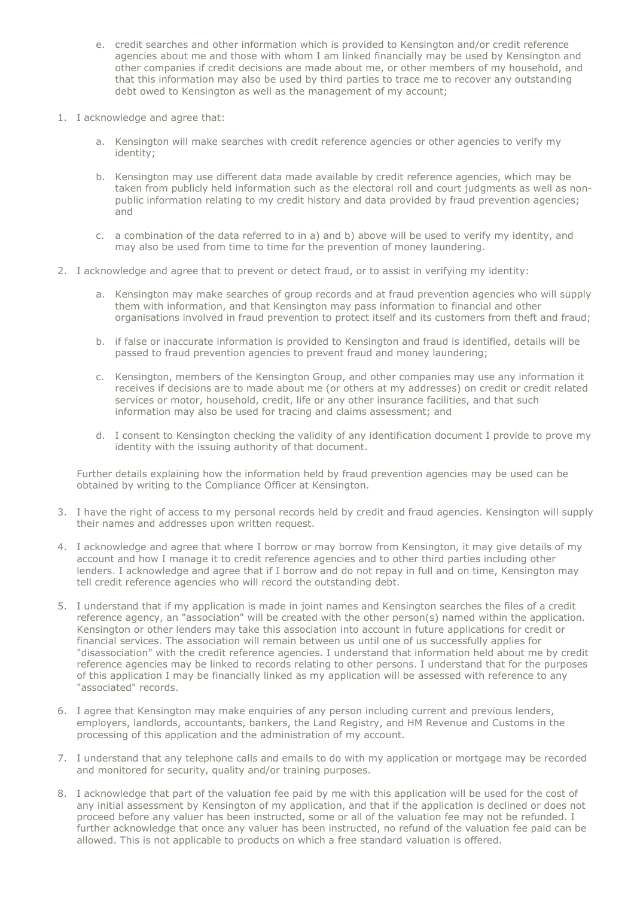- e. credit searches and other information which is provided to Kensington and/or credit reference agencies about me and those with whom I am linked financially may be used by Kensington and other companies if credit decisions are made about me, or other members of my household, and that this information may also be used by third parties to trace me to recover any outstanding debt owed to Kensington as well as the management of my account;
- 1. I acknowledge and agree that:
	- a. Kensington will make searches with credit reference agencies or other agencies to verify my identity;
	- b. Kensington may use different data made available by credit reference agencies, which may be taken from publicly held information such as the electoral roll and court judgments as well as nonpublic information relating to my credit history and data provided by fraud prevention agencies; and
	- c. a combination of the data referred to in a) and b) above will be used to verify my identity, and may also be used from time to time for the prevention of money laundering.
- 2. I acknowledge and agree that to prevent or detect fraud, or to assist in verifying my identity:
	- a. Kensington may make searches of group records and at fraud prevention agencies who will supply them with information, and that Kensington may pass information to financial and other organisations involved in fraud prevention to protect itself and its customers from theft and fraud;
	- b. if false or inaccurate information is provided to Kensington and fraud is identified, details will be passed to fraud prevention agencies to prevent fraud and money laundering;
	- c. Kensington, members of the Kensington Group, and other companies may use any information it receives if decisions are to made about me (or others at my addresses) on credit or credit related services or motor, household, credit, life or any other insurance facilities, and that such information may also be used for tracing and claims assessment; and
	- d. I consent to Kensington checking the validity of any identification document I provide to prove my identity with the issuing authority of that document.

Further details explaining how the information held by fraud prevention agencies may be used can be obtained by writing to the Compliance Officer at Kensington.

- 3. I have the right of access to my personal records held by credit and fraud agencies. Kensington will supply their names and addresses upon written request.
- 4. I acknowledge and agree that where I borrow or may borrow from Kensington, it may give details of my account and how I manage it to credit reference agencies and to other third parties including other lenders. I acknowledge and agree that if I borrow and do not repay in full and on time, Kensington may tell credit reference agencies who will record the outstanding debt.
- 5. I understand that if my application is made in joint names and Kensington searches the files of a credit reference agency, an "association" will be created with the other person(s) named within the application. Kensington or other lenders may take this association into account in future applications for credit or financial services. The association will remain between us until one of us successfully applies for "disassociation" with the credit reference agencies. I understand that information held about me by credit reference agencies may be linked to records relating to other persons. I understand that for the purposes of this application I may be financially linked as my application will be assessed with reference to any "associated" records.
- 6. I agree that Kensington may make enquiries of any person including current and previous lenders, employers, landlords, accountants, bankers, the Land Registry, and HM Revenue and Customs in the processing of this application and the administration of my account.
- 7. I understand that any telephone calls and emails to do with my application or mortgage may be recorded and monitored for security, quality and/or training purposes.
- 8. I acknowledge that part of the valuation fee paid by me with this application will be used for the cost of any initial assessment by Kensington of my application, and that if the application is declined or does not proceed before any valuer has been instructed, some or all of the valuation fee may not be refunded. I further acknowledge that once any valuer has been instructed, no refund of the valuation fee paid can be allowed. This is not applicable to products on which a free standard valuation is offered.